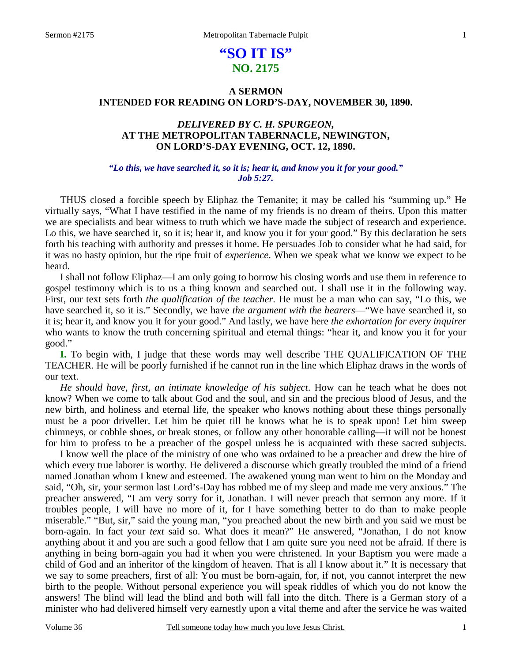# **"SO IT IS" NO. 2175**

# **A SERMON INTENDED FOR READING ON LORD'S-DAY, NOVEMBER 30, 1890.**

# *DELIVERED BY C. H. SPURGEON,*  **AT THE METROPOLITAN TABERNACLE, NEWINGTON, ON LORD'S-DAY EVENING, OCT. 12, 1890.**

### *"Lo this, we have searched it, so it is; hear it, and know you it for your good." Job 5:27.*

THUS closed a forcible speech by Eliphaz the Temanite; it may be called his "summing up." He virtually says, "What I have testified in the name of my friends is no dream of theirs. Upon this matter we are specialists and bear witness to truth which we have made the subject of research and experience. Lo this, we have searched it, so it is; hear it, and know you it for your good." By this declaration he sets forth his teaching with authority and presses it home. He persuades Job to consider what he had said, for it was no hasty opinion, but the ripe fruit of *experience*. When we speak what we know we expect to be heard.

 I shall not follow Eliphaz—I am only going to borrow his closing words and use them in reference to gospel testimony which is to us a thing known and searched out. I shall use it in the following way. First, our text sets forth *the qualification of the teacher*. He must be a man who can say, "Lo this, we have searched it, so it is." Secondly, we have *the argument with the hearers*—"We have searched it, so it is; hear it, and know you it for your good." And lastly, we have here *the exhortation for every inquirer*  who wants to know the truth concerning spiritual and eternal things: "hear it, and know you it for your good."

**I.** To begin with, I judge that these words may well describe THE QUALIFICATION OF THE TEACHER. He will be poorly furnished if he cannot run in the line which Eliphaz draws in the words of our text.

 *He should have, first, an intimate knowledge of his subject*. How can he teach what he does not know? When we come to talk about God and the soul, and sin and the precious blood of Jesus, and the new birth, and holiness and eternal life, the speaker who knows nothing about these things personally must be a poor driveller. Let him be quiet till he knows what he is to speak upon! Let him sweep chimneys, or cobble shoes, or break stones, or follow any other honorable calling—it will not be honest for him to profess to be a preacher of the gospel unless he is acquainted with these sacred subjects.

 I know well the place of the ministry of one who was ordained to be a preacher and drew the hire of which every true laborer is worthy. He delivered a discourse which greatly troubled the mind of a friend named Jonathan whom I knew and esteemed. The awakened young man went to him on the Monday and said, "Oh, sir, your sermon last Lord's-Day has robbed me of my sleep and made me very anxious." The preacher answered, "I am very sorry for it, Jonathan. I will never preach that sermon any more. If it troubles people, I will have no more of it, for I have something better to do than to make people miserable." "But, sir," said the young man, "you preached about the new birth and you said we must be born-again. In fact your *text* said so. What does it mean?" He answered, "Jonathan, I do not know anything about it and you are such a good fellow that I am quite sure you need not be afraid. If there is anything in being born-again you had it when you were christened. In your Baptism you were made a child of God and an inheritor of the kingdom of heaven. That is all I know about it." It is necessary that we say to some preachers, first of all: You must be born-again, for, if not, you cannot interpret the new birth to the people. Without personal experience you will speak riddles of which you do not know the answers! The blind will lead the blind and both will fall into the ditch. There is a German story of a minister who had delivered himself very earnestly upon a vital theme and after the service he was waited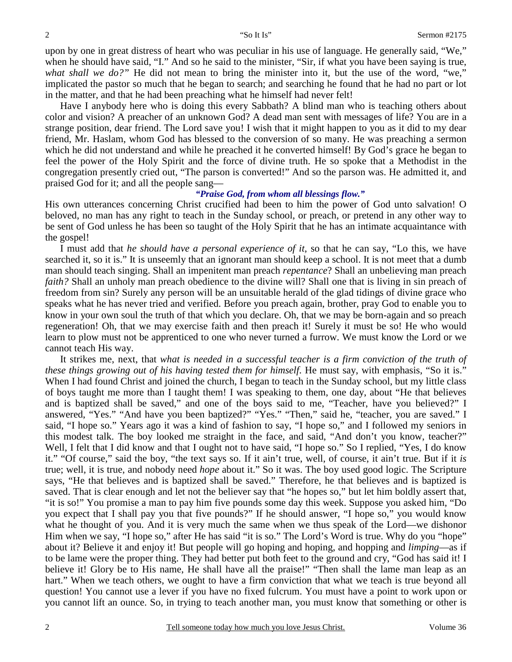upon by one in great distress of heart who was peculiar in his use of language. He generally said, "We," when he should have said, "I." And so he said to the minister, "Sir, if what you have been saying is true, what shall we do?" He did not mean to bring the minister into it, but the use of the word, "we," implicated the pastor so much that he began to search; and searching he found that he had no part or lot in the matter, and that he had been preaching what he himself had never felt!

 Have I anybody here who is doing this every Sabbath? A blind man who is teaching others about color and vision? A preacher of an unknown God? A dead man sent with messages of life? You are in a strange position, dear friend. The Lord save you! I wish that it might happen to you as it did to my dear friend, Mr. Haslam, whom God has blessed to the conversion of so many. He was preaching a sermon which he did not understand and while he preached it he converted himself! By God's grace he began to feel the power of the Holy Spirit and the force of divine truth. He so spoke that a Methodist in the congregation presently cried out, "The parson is converted!" And so the parson was. He admitted it, and praised God for it; and all the people sang—

#### *"Praise God, from whom all blessings flow."*

His own utterances concerning Christ crucified had been to him the power of God unto salvation! O beloved, no man has any right to teach in the Sunday school, or preach, or pretend in any other way to be sent of God unless he has been so taught of the Holy Spirit that he has an intimate acquaintance with the gospel!

 I must add that *he should have a personal experience of it*, so that he can say, "Lo this, we have searched it, so it is." It is unseemly that an ignorant man should keep a school. It is not meet that a dumb man should teach singing. Shall an impenitent man preach *repentance*? Shall an unbelieving man preach *faith?* Shall an unholy man preach obedience to the divine will? Shall one that is living in sin preach of freedom from sin? Surely any person will be an unsuitable herald of the glad tidings of divine grace who speaks what he has never tried and verified. Before you preach again, brother, pray God to enable you to know in your own soul the truth of that which you declare. Oh, that we may be born-again and so preach regeneration! Oh, that we may exercise faith and then preach it! Surely it must be so! He who would learn to plow must not be apprenticed to one who never turned a furrow. We must know the Lord or we cannot teach His way.

 It strikes me, next, that *what is needed in a successful teacher is a firm conviction of the truth of these things growing out of his having tested them for himself*. He must say, with emphasis, "So it is." When I had found Christ and joined the church, I began to teach in the Sunday school, but my little class of boys taught me more than I taught them! I was speaking to them, one day, about "He that believes and is baptized shall be saved," and one of the boys said to me, "Teacher, have you believed?" I answered, "Yes." "And have you been baptized?" "Yes." "Then," said he, "teacher, you are saved." I said, "I hope so." Years ago it was a kind of fashion to say, "I hope so," and I followed my seniors in this modest talk. The boy looked me straight in the face, and said, "And don't you know, teacher?" Well, I felt that I did know and that I ought not to have said, "I hope so." So I replied, "Yes, I do know it." "Of course," said the boy, "the text says so. If it ain't true, well, of course, it ain't true. But if it *is* true; well, it is true, and nobody need *hope* about it." So it was. The boy used good logic. The Scripture says, "He that believes and is baptized shall be saved." Therefore, he that believes and is baptized is saved. That is clear enough and let not the believer say that "he hopes so," but let him boldly assert that, "it is so!" You promise a man to pay him five pounds some day this week. Suppose you asked him, "Do you expect that I shall pay you that five pounds?" If he should answer, "I hope so," you would know what he thought of you. And it is very much the same when we thus speak of the Lord—we dishonor Him when we say, "I hope so," after He has said "it is so." The Lord's Word is true. Why do you "hope" about it? Believe it and enjoy it! But people will go hoping and hoping, and hopping and *limping*—as if to be lame were the proper thing. They had better put both feet to the ground and cry, "God has said it! I believe it! Glory be to His name, He shall have all the praise!" "Then shall the lame man leap as an hart." When we teach others, we ought to have a firm conviction that what we teach is true beyond all question! You cannot use a lever if you have no fixed fulcrum. You must have a point to work upon or you cannot lift an ounce. So, in trying to teach another man, you must know that something or other is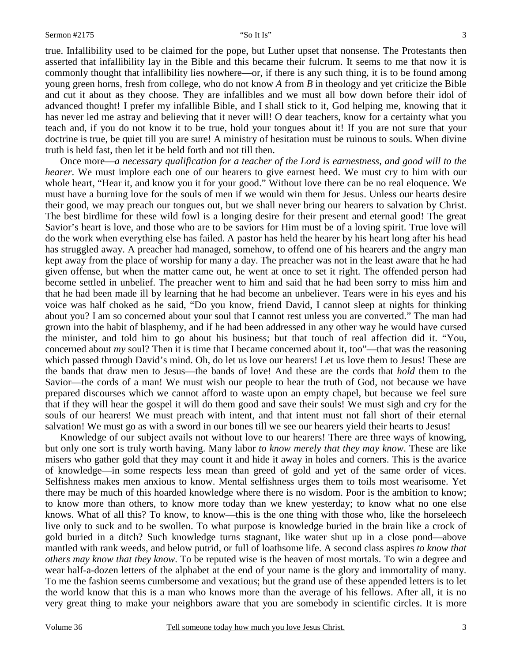true. Infallibility used to be claimed for the pope, but Luther upset that nonsense. The Protestants then asserted that infallibility lay in the Bible and this became their fulcrum. It seems to me that now it is commonly thought that infallibility lies nowhere—or, if there is any such thing, it is to be found among young green horns, fresh from college, who do not know *A* from *B* in theology and yet criticize the Bible and cut it about as they choose. They are infallibles and we must all bow down before their idol of advanced thought! I prefer my infallible Bible, and I shall stick to it, God helping me, knowing that it has never led me astray and believing that it never will! O dear teachers, know for a certainty what you teach and, if you do not know it to be true, hold your tongues about it! If you are not sure that your doctrine is true, be quiet till you are sure! A ministry of hesitation must be ruinous to souls. When divine truth is held fast, then let it be held forth and not till then.

 Once more—*a necessary qualification for a teacher of the Lord is earnestness, and good will to the hearer*. We must implore each one of our hearers to give earnest heed. We must cry to him with our whole heart, "Hear it, and know you it for your good." Without love there can be no real eloquence. We must have a burning love for the souls of men if we would win them for Jesus. Unless our hearts desire their good, we may preach our tongues out, but we shall never bring our hearers to salvation by Christ. The best birdlime for these wild fowl is a longing desire for their present and eternal good! The great Savior's heart is love, and those who are to be saviors for Him must be of a loving spirit. True love will do the work when everything else has failed. A pastor has held the hearer by his heart long after his head has struggled away. A preacher had managed, somehow, to offend one of his hearers and the angry man kept away from the place of worship for many a day. The preacher was not in the least aware that he had given offense, but when the matter came out, he went at once to set it right. The offended person had become settled in unbelief. The preacher went to him and said that he had been sorry to miss him and that he had been made ill by learning that he had become an unbeliever. Tears were in his eyes and his voice was half choked as he said, "Do you know, friend David, I cannot sleep at nights for thinking about you? I am so concerned about your soul that I cannot rest unless you are converted." The man had grown into the habit of blasphemy, and if he had been addressed in any other way he would have cursed the minister, and told him to go about his business; but that touch of real affection did it. "You, concerned about *my* soul? Then it is time that I became concerned about it, too"—that was the reasoning which passed through David's mind. Oh, do let us love our hearers! Let us love them to Jesus! These are the bands that draw men to Jesus—the bands of love! And these are the cords that *hold* them to the Savior—the cords of a man! We must wish our people to hear the truth of God, not because we have prepared discourses which we cannot afford to waste upon an empty chapel, but because we feel sure that if they will hear the gospel it will do them good and save their souls! We must sigh and cry for the souls of our hearers! We must preach with intent, and that intent must not fall short of their eternal salvation! We must go as with a sword in our bones till we see our hearers yield their hearts to Jesus!

 Knowledge of our subject avails not without love to our hearers! There are three ways of knowing, but only one sort is truly worth having. Many labor *to know merely that they may know*. These are like misers who gather gold that they may count it and hide it away in holes and corners. This is the avarice of knowledge—in some respects less mean than greed of gold and yet of the same order of vices. Selfishness makes men anxious to know. Mental selfishness urges them to toils most wearisome. Yet there may be much of this hoarded knowledge where there is no wisdom. Poor is the ambition to know; to know more than others, to know more today than we knew yesterday; to know what no one else knows. What of all this? To know, to know—this is the one thing with those who, like the horseleech live only to suck and to be swollen. To what purpose is knowledge buried in the brain like a crock of gold buried in a ditch? Such knowledge turns stagnant, like water shut up in a close pond—above mantled with rank weeds, and below putrid, or full of loathsome life. A second class aspires *to know that others may know that they know*. To be reputed wise is the heaven of most mortals. To win a degree and wear half-a-dozen letters of the alphabet at the end of your name is the glory and immortality of many. To me the fashion seems cumbersome and vexatious; but the grand use of these appended letters is to let the world know that this is a man who knows more than the average of his fellows. After all, it is no very great thing to make your neighbors aware that you are somebody in scientific circles. It is more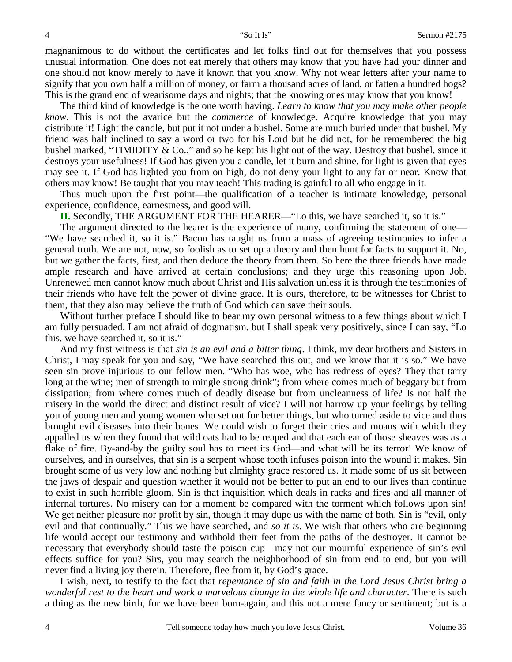magnanimous to do without the certificates and let folks find out for themselves that you possess unusual information. One does not eat merely that others may know that you have had your dinner and one should not know merely to have it known that you know. Why not wear letters after your name to signify that you own half a million of money, or farm a thousand acres of land, or fatten a hundred hogs? This is the grand end of wearisome days and nights; that the knowing ones may know that you know!

 The third kind of knowledge is the one worth having. *Learn to know that you may make other people know*. This is not the avarice but the *commerce* of knowledge. Acquire knowledge that you may distribute it! Light the candle, but put it not under a bushel. Some are much buried under that bushel. My friend was half inclined to say a word or two for his Lord but he did not, for he remembered the big bushel marked, "TIMIDITY & Co.," and so he kept his light out of the way. Destroy that bushel, since it destroys your usefulness! If God has given you a candle, let it burn and shine, for light is given that eyes may see it. If God has lighted you from on high, do not deny your light to any far or near. Know that others may know! Be taught that you may teach! This trading is gainful to all who engage in it.

 Thus much upon the first point—the qualification of a teacher is intimate knowledge, personal experience, confidence, earnestness, and good will.

**II.** Secondly, THE ARGUMENT FOR THE HEARER—"Lo this, we have searched it, so it is."

 The argument directed to the hearer is the experience of many, confirming the statement of one— "We have searched it, so it is." Bacon has taught us from a mass of agreeing testimonies to infer a general truth. We are not, now, so foolish as to set up a theory and then hunt for facts to support it. No, but we gather the facts, first, and then deduce the theory from them. So here the three friends have made ample research and have arrived at certain conclusions; and they urge this reasoning upon Job. Unrenewed men cannot know much about Christ and His salvation unless it is through the testimonies of their friends who have felt the power of divine grace. It is ours, therefore, to be witnesses for Christ to them, that they also may believe the truth of God which can save their souls.

Without further preface I should like to bear my own personal witness to a few things about which I am fully persuaded. I am not afraid of dogmatism, but I shall speak very positively, since I can say, "Lo this, we have searched it, so it is."

 And my first witness is that *sin is an evil and a bitter thing*. I think, my dear brothers and Sisters in Christ, I may speak for you and say, "We have searched this out, and we know that it is so." We have seen sin prove injurious to our fellow men. "Who has woe, who has redness of eyes? They that tarry long at the wine; men of strength to mingle strong drink"; from where comes much of beggary but from dissipation; from where comes much of deadly disease but from uncleanness of life? Is not half the misery in the world the direct and distinct result of vice? I will not harrow up your feelings by telling you of young men and young women who set out for better things, but who turned aside to vice and thus brought evil diseases into their bones. We could wish to forget their cries and moans with which they appalled us when they found that wild oats had to be reaped and that each ear of those sheaves was as a flake of fire. By-and-by the guilty soul has to meet its God—and what will be its terror! We know of ourselves, and in ourselves, that sin is a serpent whose tooth infuses poison into the wound it makes. Sin brought some of us very low and nothing but almighty grace restored us. It made some of us sit between the jaws of despair and question whether it would not be better to put an end to our lives than continue to exist in such horrible gloom. Sin is that inquisition which deals in racks and fires and all manner of infernal tortures. No misery can for a moment be compared with the torment which follows upon sin! We get neither pleasure nor profit by sin, though it may dupe us with the name of both. Sin is "evil, only evil and that continually." This we have searched, and *so it i*s. We wish that others who are beginning life would accept our testimony and withhold their feet from the paths of the destroyer. It cannot be necessary that everybody should taste the poison cup—may not our mournful experience of sin's evil effects suffice for you? Sirs, you may search the neighborhood of sin from end to end, but you will never find a living joy therein. Therefore, flee from it, by God's grace.

 I wish, next, to testify to the fact that *repentance of sin and faith in the Lord Jesus Christ bring a wonderful rest to the heart and work a marvelous change in the whole life and character*. There is such a thing as the new birth, for we have been born-again, and this not a mere fancy or sentiment; but is a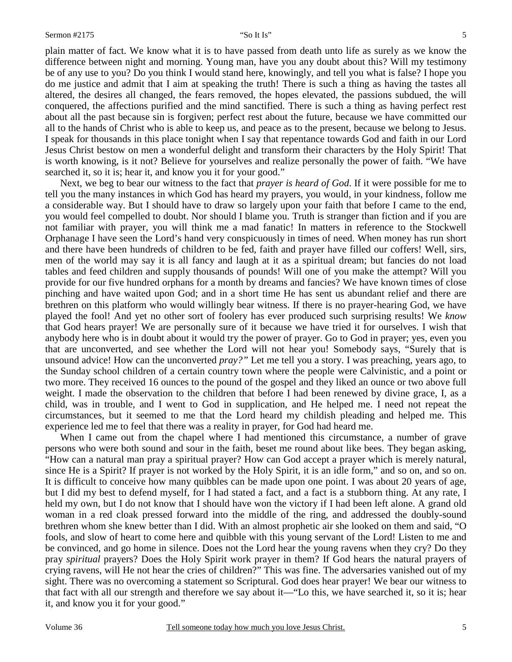plain matter of fact. We know what it is to have passed from death unto life as surely as we know the difference between night and morning. Young man, have you any doubt about this? Will my testimony be of any use to you? Do you think I would stand here, knowingly, and tell you what is false? I hope you do me justice and admit that I aim at speaking the truth! There is such a thing as having the tastes all altered, the desires all changed, the fears removed, the hopes elevated, the passions subdued, the will conquered, the affections purified and the mind sanctified. There is such a thing as having perfect rest about all the past because sin is forgiven; perfect rest about the future, because we have committed our all to the hands of Christ who is able to keep us, and peace as to the present, because we belong to Jesus. I speak for thousands in this place tonight when I say that repentance towards God and faith in our Lord Jesus Christ bestow on men a wonderful delight and transform their characters by the Holy Spirit! That is worth knowing, is it not? Believe for yourselves and realize personally the power of faith. "We have searched it, so it is; hear it, and know you it for your good."

 Next, we beg to bear our witness to the fact that *prayer is heard of God*. If it were possible for me to tell you the many instances in which God has heard my prayers, you would, in your kindness, follow me a considerable way. But I should have to draw so largely upon your faith that before I came to the end, you would feel compelled to doubt. Nor should I blame you. Truth is stranger than fiction and if you are not familiar with prayer, you will think me a mad fanatic! In matters in reference to the Stockwell Orphanage I have seen the Lord's hand very conspicuously in times of need. When money has run short and there have been hundreds of children to be fed, faith and prayer have filled our coffers! Well, sirs, men of the world may say it is all fancy and laugh at it as a spiritual dream; but fancies do not load tables and feed children and supply thousands of pounds! Will one of you make the attempt? Will you provide for our five hundred orphans for a month by dreams and fancies? We have known times of close pinching and have waited upon God; and in a short time He has sent us abundant relief and there are brethren on this platform who would willingly bear witness. If there is no prayer-hearing God, we have played the fool! And yet no other sort of foolery has ever produced such surprising results! We *know* that God hears prayer! We are personally sure of it because we have tried it for ourselves. I wish that anybody here who is in doubt about it would try the power of prayer. Go to God in prayer; yes, even you that are unconverted, and see whether the Lord will not hear you! Somebody says, "Surely that is unsound advice! How can the unconverted *pray?"* Let me tell you a story. I was preaching, years ago, to the Sunday school children of a certain country town where the people were Calvinistic, and a point or two more. They received 16 ounces to the pound of the gospel and they liked an ounce or two above full weight. I made the observation to the children that before I had been renewed by divine grace, I, as a child, was in trouble, and I went to God in supplication, and He helped me. I need not repeat the circumstances, but it seemed to me that the Lord heard my childish pleading and helped me. This experience led me to feel that there was a reality in prayer, for God had heard me.

 When I came out from the chapel where I had mentioned this circumstance, a number of grave persons who were both sound and sour in the faith, beset me round about like bees. They began asking, "How can a natural man pray a spiritual prayer? How can God accept a prayer which is merely natural, since He is a Spirit? If prayer is not worked by the Holy Spirit, it is an idle form," and so on, and so on. It is difficult to conceive how many quibbles can be made upon one point. I was about 20 years of age, but I did my best to defend myself, for I had stated a fact, and a fact is a stubborn thing. At any rate, I held my own, but I do not know that I should have won the victory if I had been left alone. A grand old woman in a red cloak pressed forward into the middle of the ring, and addressed the doubly-sound brethren whom she knew better than I did. With an almost prophetic air she looked on them and said, "O fools, and slow of heart to come here and quibble with this young servant of the Lord! Listen to me and be convinced, and go home in silence. Does not the Lord hear the young ravens when they cry? Do they pray *spiritual* prayers? Does the Holy Spirit work prayer in them? If God hears the natural prayers of crying ravens, will He not hear the cries of children?" This was fine. The adversaries vanished out of my sight. There was no overcoming a statement so Scriptural. God does hear prayer! We bear our witness to that fact with all our strength and therefore we say about it—"Lo this, we have searched it, so it is; hear it, and know you it for your good."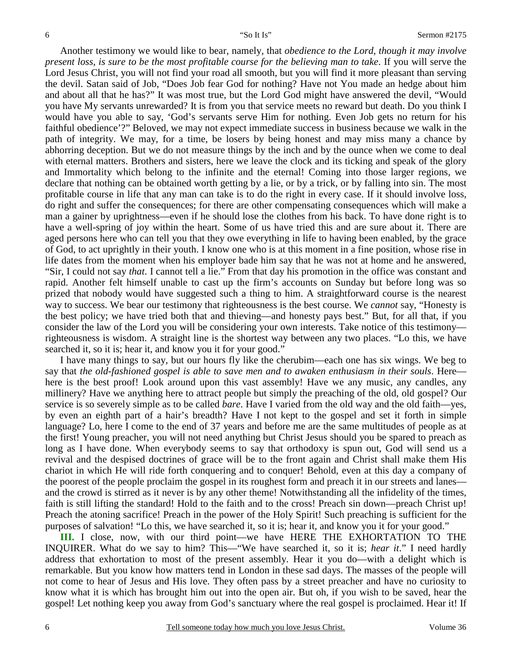Another testimony we would like to bear, namely, that *obedience to the Lord, though it may involve present loss, is sure to be the most profitable course for the believing man to take*. If you will serve the Lord Jesus Christ, you will not find your road all smooth, but you will find it more pleasant than serving the devil. Satan said of Job, "Does Job fear God for nothing? Have not You made an hedge about him and about all that he has?" It was most true, but the Lord God might have answered the devil, "Would you have My servants unrewarded? It is from you that service meets no reward but death. Do you think I would have you able to say, 'God's servants serve Him for nothing. Even Job gets no return for his faithful obedience'?" Beloved, we may not expect immediate success in business because we walk in the path of integrity. We may, for a time, be losers by being honest and may miss many a chance by abhorring deception. But we do not measure things by the inch and by the ounce when we come to deal with eternal matters. Brothers and sisters, here we leave the clock and its ticking and speak of the glory and Immortality which belong to the infinite and the eternal! Coming into those larger regions, we declare that nothing can be obtained worth getting by a lie, or by a trick, or by falling into sin. The most profitable course in life that any man can take is to do the right in every case. If it should involve loss, do right and suffer the consequences; for there are other compensating consequences which will make a man a gainer by uprightness—even if he should lose the clothes from his back. To have done right is to have a well-spring of joy within the heart. Some of us have tried this and are sure about it. There are aged persons here who can tell you that they owe everything in life to having been enabled, by the grace of God, to act uprightly in their youth. I know one who is at this moment in a fine position, whose rise in life dates from the moment when his employer bade him say that he was not at home and he answered, "Sir, I could not say *that*. I cannot tell a lie." From that day his promotion in the office was constant and rapid. Another felt himself unable to cast up the firm's accounts on Sunday but before long was so prized that nobody would have suggested such a thing to him. A straightforward course is the nearest way to success. We bear our testimony that righteousness is the best course. We *cannot* say, "Honesty is the best policy; we have tried both that and thieving—and honesty pays best." But, for all that, if you consider the law of the Lord you will be considering your own interests. Take notice of this testimony righteousness is wisdom. A straight line is the shortest way between any two places. "Lo this, we have searched it, so it is; hear it, and know you it for your good."

 I have many things to say, but our hours fly like the cherubim—each one has six wings. We beg to say that *the old-fashioned gospel is able to save men and to awaken enthusiasm in their souls*. Here here is the best proof! Look around upon this vast assembly! Have we any music, any candles, any millinery? Have we anything here to attract people but simply the preaching of the old, old gospel? Our service is so severely simple as to be called *bare*. Have I varied from the old way and the old faith—yes, by even an eighth part of a hair's breadth? Have I not kept to the gospel and set it forth in simple language? Lo, here I come to the end of 37 years and before me are the same multitudes of people as at the first! Young preacher, you will not need anything but Christ Jesus should you be spared to preach as long as I have done. When everybody seems to say that orthodoxy is spun out, God will send us a revival and the despised doctrines of grace will be to the front again and Christ shall make them His chariot in which He will ride forth conquering and to conquer! Behold, even at this day a company of the poorest of the people proclaim the gospel in its roughest form and preach it in our streets and lanes and the crowd is stirred as it never is by any other theme! Notwithstanding all the infidelity of the times, faith is still lifting the standard! Hold to the faith and to the cross! Preach sin down—preach Christ up! Preach the atoning sacrifice! Preach in the power of the Holy Spirit! Such preaching is sufficient for the purposes of salvation! "Lo this, we have searched it, so it is; hear it, and know you it for your good."

**III.** I close, now, with our third point—we have HERE THE EXHORTATION TO THE INQUIRER. What do we say to him? This—"We have searched it, so it is; *hear it*." I need hardly address that exhortation to most of the present assembly. Hear it you do—with a delight which is remarkable. But you know how matters tend in London in these sad days. The masses of the people will not come to hear of Jesus and His love. They often pass by a street preacher and have no curiosity to know what it is which has brought him out into the open air. But oh, if you wish to be saved, hear the gospel! Let nothing keep you away from God's sanctuary where the real gospel is proclaimed. Hear it! If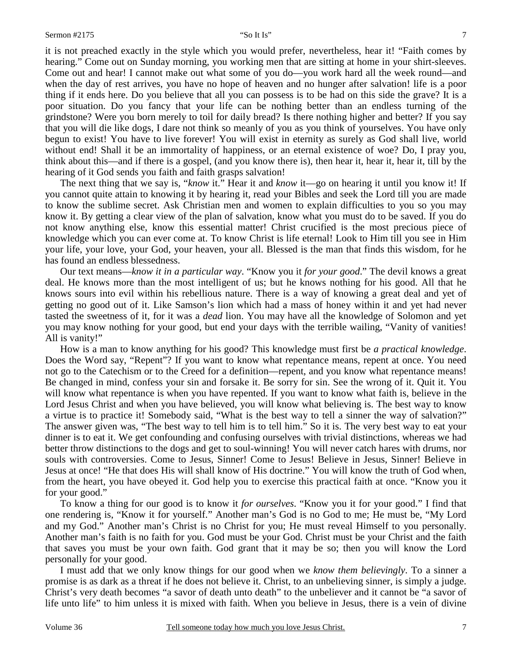it is not preached exactly in the style which you would prefer, nevertheless, hear it! "Faith comes by hearing." Come out on Sunday morning, you working men that are sitting at home in your shirt-sleeves. Come out and hear! I cannot make out what some of you do—you work hard all the week round—and when the day of rest arrives, you have no hope of heaven and no hunger after salvation! life is a poor thing if it ends here. Do you believe that all you can possess is to be had on this side the grave? It is a poor situation. Do you fancy that your life can be nothing better than an endless turning of the grindstone? Were you born merely to toil for daily bread? Is there nothing higher and better? If you say that you will die like dogs, I dare not think so meanly of you as you think of yourselves. You have only begun to exist! You have to live forever! You will exist in eternity as surely as God shall live, world without end! Shall it be an immortality of happiness, or an eternal existence of woe? Do, I pray you, think about this—and if there is a gospel, (and you know there is), then hear it, hear it, hear it, till by the hearing of it God sends you faith and faith grasps salvation!

 The next thing that we say is, "*know* it." Hear it and *know* it—go on hearing it until you know it! If you cannot quite attain to knowing it by hearing it, read your Bibles and seek the Lord till you are made to know the sublime secret. Ask Christian men and women to explain difficulties to you so you may know it. By getting a clear view of the plan of salvation, know what you must do to be saved. If you do not know anything else, know this essential matter! Christ crucified is the most precious piece of knowledge which you can ever come at. To know Christ is life eternal! Look to Him till you see in Him your life, your love, your God, your heaven, your all. Blessed is the man that finds this wisdom, for he has found an endless blessedness.

 Our text means—*know it in a particular way*. "Know you it *for your good*." The devil knows a great deal. He knows more than the most intelligent of us; but he knows nothing for his good. All that he knows sours into evil within his rebellious nature. There is a way of knowing a great deal and yet of getting no good out of it. Like Samson's lion which had a mass of honey within it and yet had never tasted the sweetness of it, for it was a *dead* lion. You may have all the knowledge of Solomon and yet you may know nothing for your good, but end your days with the terrible wailing, "Vanity of vanities! All is vanity!"

 How is a man to know anything for his good? This knowledge must first be *a practical knowledge*. Does the Word say, "Repent"? If you want to know what repentance means, repent at once. You need not go to the Catechism or to the Creed for a definition—repent, and you know what repentance means! Be changed in mind, confess your sin and forsake it. Be sorry for sin. See the wrong of it. Quit it. You will know what repentance is when you have repented. If you want to know what faith is, believe in the Lord Jesus Christ and when you have believed, you will know what believing is. The best way to know a virtue is to practice it! Somebody said, "What is the best way to tell a sinner the way of salvation?" The answer given was, "The best way to tell him is to tell him." So it is. The very best way to eat your dinner is to eat it. We get confounding and confusing ourselves with trivial distinctions, whereas we had better throw distinctions to the dogs and get to soul-winning! You will never catch hares with drums, nor souls with controversies. Come to Jesus, Sinner! Come to Jesus! Believe in Jesus, Sinner! Believe in Jesus at once! "He that does His will shall know of His doctrine." You will know the truth of God when, from the heart, you have obeyed it. God help you to exercise this practical faith at once. "Know you it for your good."

 To know a thing for our good is to know it *for ourselves*. "Know you it for your good." I find that one rendering is, "Know it for yourself." Another man's God is no God to me; He must be, "My Lord and my God." Another man's Christ is no Christ for you; He must reveal Himself to you personally. Another man's faith is no faith for you. God must be your God. Christ must be your Christ and the faith that saves you must be your own faith. God grant that it may be so; then you will know the Lord personally for your good.

 I must add that we only know things for our good when we *know them believingly*. To a sinner a promise is as dark as a threat if he does not believe it. Christ, to an unbelieving sinner, is simply a judge. Christ's very death becomes "a savor of death unto death" to the unbeliever and it cannot be "a savor of life unto life" to him unless it is mixed with faith. When you believe in Jesus, there is a vein of divine